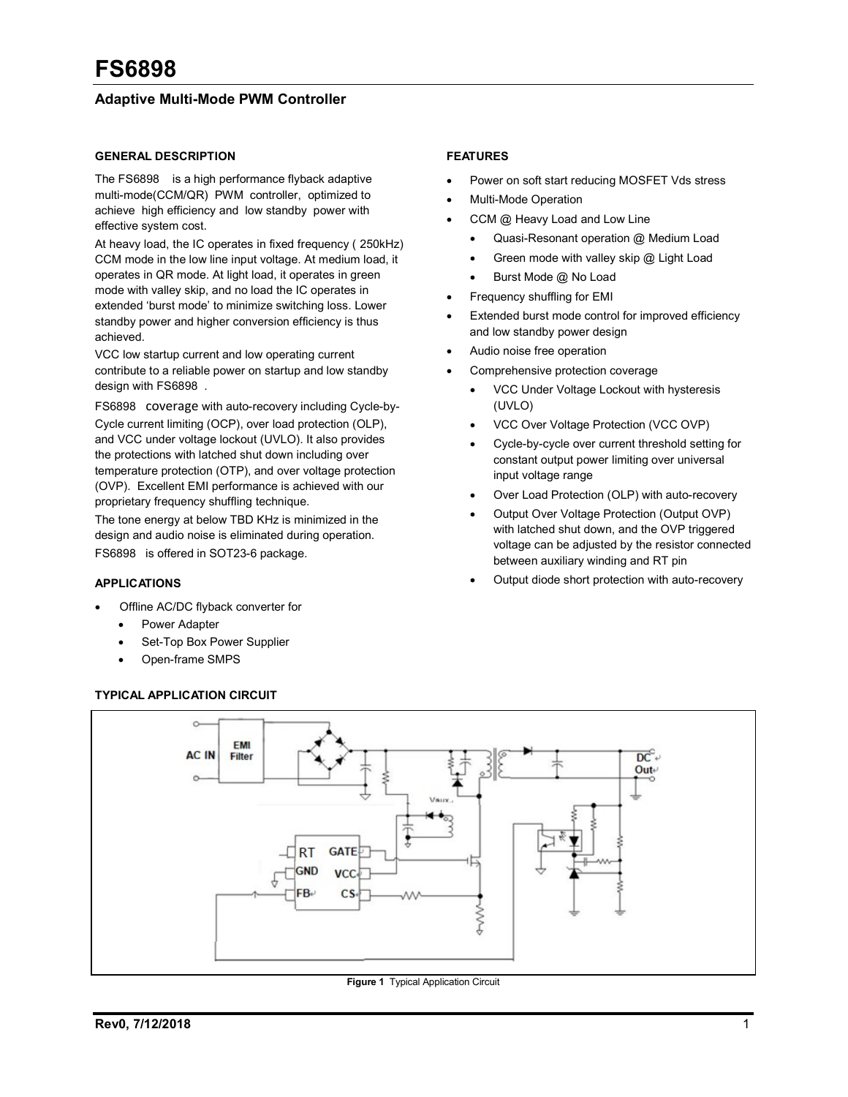## Adaptive Multi-Mode PWM Controller

#### GENERAL DESCRIPTION

The FS6898 is a high performance flyback adaptive multi-mode(CCM/QR) PWM controller, optimized to achieve high efficiency and low standby power with effective system cost.

At heavy load, the IC operates in fixed frequency ( 250kHz) CCM mode in the low line input voltage. At medium load, it operates in QR mode. At light load, it operates in green mode with valley skip, and no load the IC operates in extended 'burst mode' to minimize switching loss. Lower standby power and higher conversion efficiency is thus achieved.

VCC low startup current and low operating current contribute to a reliable power on startup and low standby design with FS6898 .

FS6898 coverage with auto-recovery including Cycle-by-Cycle current limiting (OCP), over load protection (OLP), and VCC under voltage lockout (UVLO). It also provides the protections with latched shut down including over temperature protection (OTP), and over voltage protection (OVP). Excellent EMI performance is achieved with our proprietary frequency shuffling technique.

The tone energy at below TBD KHz is minimized in the design and audio noise is eliminated during operation. FS6898 is offered in SOT23-6 package.

#### APPLICATIONS

- Offline AC/DC flyback converter for
	- Power Adapter
	- Set-Top Box Power Supplier
	- Open-frame SMPS

#### TYPICAL APPLICATION CIRCUIT

#### FEATURES

- Power on soft start reducing MOSFET Vds stress
- Multi-Mode Operation
- CCM @ Heavy Load and Low Line
	- Quasi-Resonant operation @ Medium Load
	- Green mode with valley skip @ Light Load
	- Burst Mode @ No Load
- Frequency shuffling for EMI
- Extended burst mode control for improved efficiency and low standby power design
- Audio noise free operation
- Comprehensive protection coverage
	- VCC Under Voltage Lockout with hysteresis (UVLO)
	- VCC Over Voltage Protection (VCC OVP)
	- Cycle-by-cycle over current threshold setting for constant output power limiting over universal input voltage range
	- Over Load Protection (OLP) with auto-recovery
	- Output Over Voltage Protection (Output OVP) with latched shut down, and the OVP triggered voltage can be adjusted by the resistor connected between auxiliary winding and RT pin
	- Output diode short protection with auto-recovery



**Figure 1** Typical Application Circuit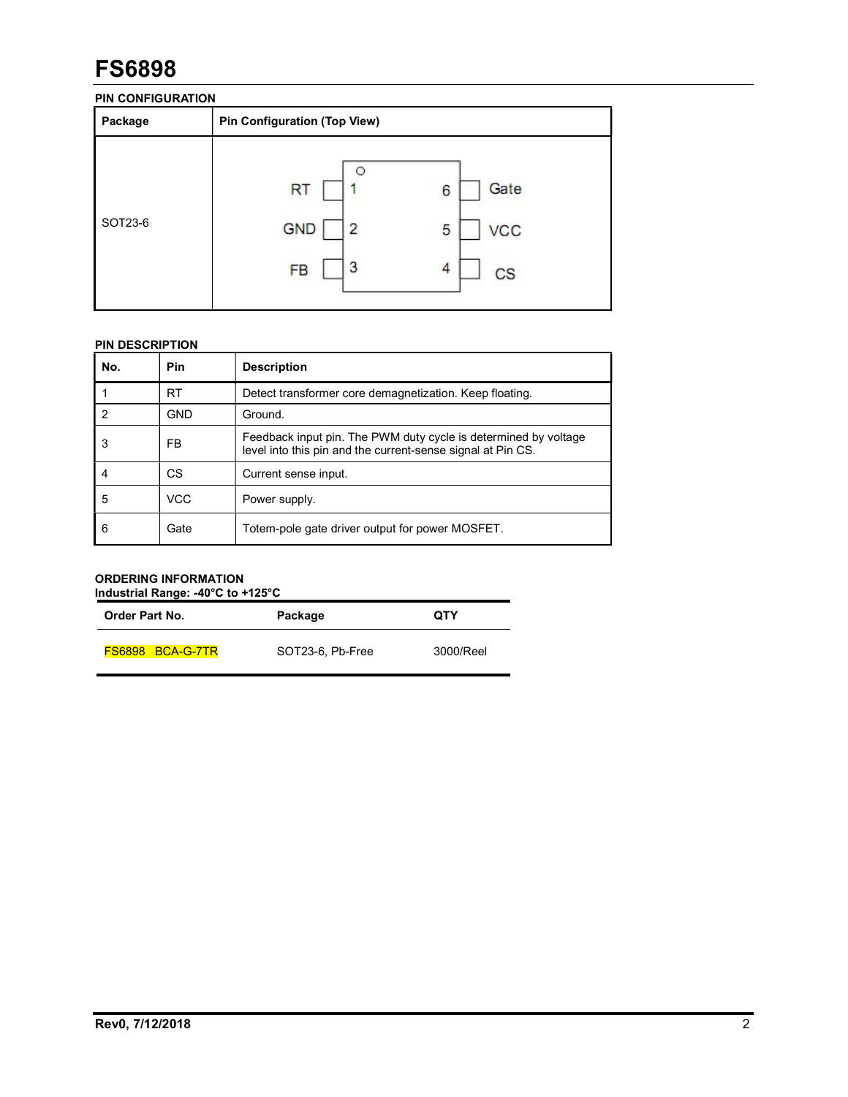### PIN CONFIGURATION

| Package | <b>Pin Configuration (Top View)</b>            |                                                |  |
|---------|------------------------------------------------|------------------------------------------------|--|
| SOT23-6 | <b>RT</b><br><b>GND</b><br>2<br>3<br><b>FB</b> | Gate<br>6<br><b>VCC</b><br>5<br>4<br><b>CS</b> |  |

## PIN DESCRIPTION

| No. | Pin        | <b>Description</b>                                                                                                             |
|-----|------------|--------------------------------------------------------------------------------------------------------------------------------|
|     | <b>RT</b>  | Detect transformer core demagnetization. Keep floating.                                                                        |
| 2   | <b>GND</b> | Ground.                                                                                                                        |
| 3   | FB         | Feedback input pin. The PWM duty cycle is determined by voltage<br>level into this pin and the current-sense signal at Pin CS. |
| 4   | СS         | Current sense input.                                                                                                           |
| 5   | <b>VCC</b> | Power supply.                                                                                                                  |
| 6   | Gate       | Totem-pole gate driver output for power MOSFET.                                                                                |

#### ORDERING INFORMATION Industrial Range: -40°C to +125°C

| <b>Order Part No.</b>   | Package          | <b>QTY</b> |
|-------------------------|------------------|------------|
| <b>FS6898 BCA-G-7TR</b> | SOT23-6, Pb-Free | 3000/Reel  |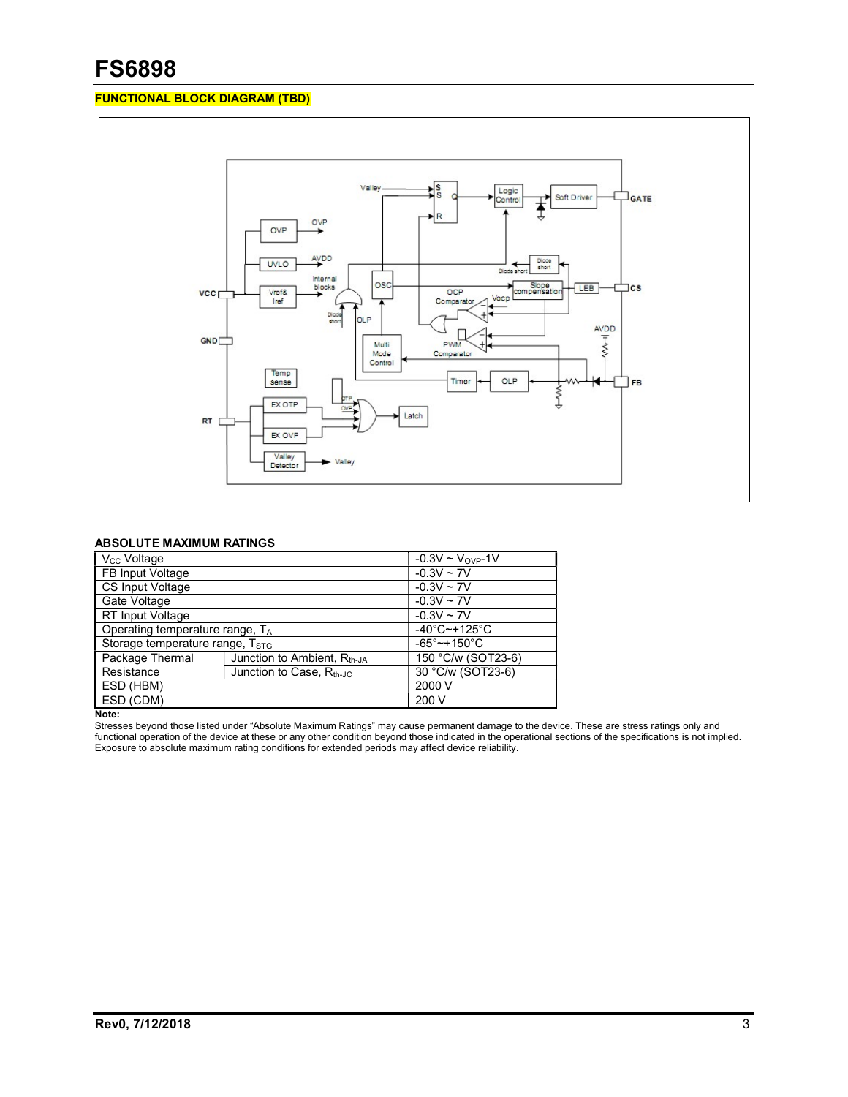### FUNCTIONAL BLOCK DIAGRAM (TBD)



### ABSOLUTE MAXIMUM RATINGS

| V <sub>CC</sub> Voltage                             |  | $-0.3V \sim V_{OVP} - 1V$         |
|-----------------------------------------------------|--|-----------------------------------|
| FB Input Voltage                                    |  | $-0.3V \sim 7V$                   |
| <b>CS Input Voltage</b>                             |  | $-0.3V \sim 7V$                   |
| Gate Voltage                                        |  | $-0.3V \sim 7V$                   |
| RT Input Voltage                                    |  | $-0.3V \sim 7V$                   |
| Operating temperature range, TA                     |  | $-40^{\circ}$ C $-+125^{\circ}$ C |
| Storage temperature range, T <sub>STG</sub>         |  | $-65^{\circ}$ ~+150 $^{\circ}$ C  |
| Package Thermal<br>Junction to Ambient, $R_{th-JA}$ |  | 150 °C/w (SOT23-6)                |
| Resistance<br>Junction to Case, $R_{th-JC}$         |  | 30 °C/w (SOT23-6)                 |
| ESD (HBM)                                           |  | 2000 V                            |
| ESD (CDM)                                           |  | 200 V                             |

Note:

Stresses beyond those listed under "Absolute Maximum Ratings" may cause permanent damage to the device. These are stress ratings only and functional operation of the device at these or any other condition beyond those indicated in the operational sections of the specifications is not implied. Exposure to absolute maximum rating conditions for extended periods may affect device reliability.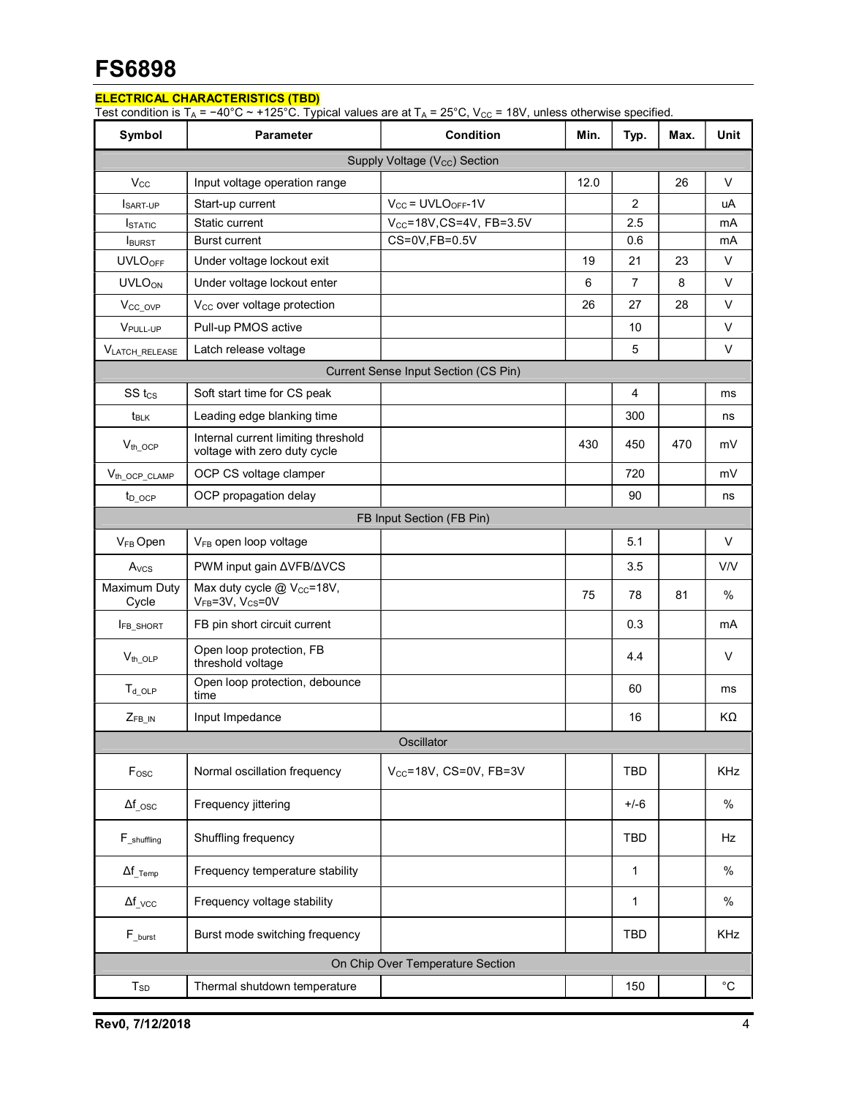### ELECTRICAL CHARACTERISTICS (TBD)

Test condition is T<sub>A</sub> = −40°C ~ +125°C. Typical values are at T<sub>A</sub> = 25°C, V<sub>CC</sub> = 18V, unless otherwise specified.

| Symbol                                    | Parameter                                                               | <b>Condition</b>                     | Min. | Typ.           | Max. | Unit        |
|-------------------------------------------|-------------------------------------------------------------------------|--------------------------------------|------|----------------|------|-------------|
| Supply Voltage (V <sub>CC</sub> ) Section |                                                                         |                                      |      |                |      |             |
| $V_{\rm CC}$                              | Input voltage operation range                                           |                                      | 12.0 |                | 26   | $\vee$      |
| SART-UP                                   | Start-up current                                                        | $V_{CC}$ = UVLO <sub>OFF</sub> -1V   |      | $\overline{2}$ |      | uA          |
| <b>ISTATIC</b>                            | Static current                                                          | $V_{CC} = 18V$ , CS=4V, FB=3.5V      |      | 2.5            |      | mA          |
| <b>I</b> BURST                            | <b>Burst current</b>                                                    | CS=0V,FB=0.5V                        |      | 0.6            |      | mA          |
| <b>UVLO<sub>OFF</sub></b>                 | Under voltage lockout exit                                              |                                      | 19   | 21             | 23   | V           |
| <b>UVLOON</b>                             | Under voltage lockout enter                                             |                                      | 6    | $\overline{7}$ | 8    | $\vee$      |
| V <sub>CC_OVP</sub>                       | V <sub>CC</sub> over voltage protection                                 |                                      | 26   | 27             | 28   | V           |
| V <sub>PULL-UP</sub>                      | Pull-up PMOS active                                                     |                                      |      | 10             |      | $\vee$      |
| <b>VLATCH RELEASE</b>                     | Latch release voltage                                                   |                                      |      | 5              |      | $\vee$      |
|                                           |                                                                         | Current Sense Input Section (CS Pin) |      |                |      |             |
| SS <sub>tcs</sub>                         | Soft start time for CS peak                                             |                                      |      | 4              |      | ms          |
| $t_{BLK}$                                 | Leading edge blanking time                                              |                                      |      | 300            |      | ns          |
| $V_{th}\_{OCP}$                           | Internal current limiting threshold<br>voltage with zero duty cycle     |                                      | 430  | 450            | 470  | mV          |
| $V_{th\_OCP\_CLAMP}$                      | OCP CS voltage clamper                                                  |                                      |      | 720            |      | mV          |
| t <sub>D</sub> ocp                        | OCP propagation delay                                                   |                                      |      | 90             |      | ns          |
| FB Input Section (FB Pin)                 |                                                                         |                                      |      |                |      |             |
| V <sub>FB</sub> Open                      | V <sub>FB</sub> open loop voltage                                       |                                      |      | 5.1            |      | $\vee$      |
| A <sub>vcs</sub>                          | PWM input gain $\triangle VFB/\triangle VCS$                            |                                      |      | 3.5            |      | V/V         |
| Maximum Duty<br>Cycle                     | Max duty cycle @ V <sub>cc</sub> =18V,<br>$V_{FB} = 3V$ , $V_{CS} = 0V$ |                                      | 75   | 78             | 81   | $\%$        |
| <b>IFB_SHORT</b>                          | FB pin short circuit current                                            |                                      |      | 0.3            |      | mA          |
| $V_{th\_OLP}$                             | Open loop protection, FB<br>threshold voltage                           |                                      |      | 4.4            |      | V           |
| $T_{d\_OLP}$                              | Open loop protection, debounce<br>time                                  |                                      |      | 60             |      | ms          |
| $Z_{FB\_IN}$                              | Input Impedance                                                         |                                      |      | 16             |      | KΩ          |
|                                           |                                                                         | Oscillator                           |      |                |      |             |
| F <sub>osc</sub>                          | Normal oscillation frequency                                            | $V_{CC}$ =18V, CS=0V, FB=3V          |      | <b>TBD</b>     |      | KHz         |
| $\Delta f_{\text{CSC}}$                   | Frequency jittering                                                     |                                      |      | $+/-6$         |      | $\%$        |
| F shuffling                               | Shuffling frequency                                                     |                                      |      | <b>TBD</b>     |      | Hz          |
| $\Delta f$ <sub>_Temp</sub>               | Frequency temperature stability                                         |                                      |      | 1              |      | $\%$        |
| $\Delta f_{\_VCC}$                        | Frequency voltage stability                                             |                                      |      | 1              |      | $\%$        |
| $F_{\text{Lburst}}$                       | Burst mode switching frequency                                          |                                      |      | <b>TBD</b>     |      | KHz         |
|                                           |                                                                         | On Chip Over Temperature Section     |      |                |      |             |
| $T_{SD}$                                  | Thermal shutdown temperature                                            |                                      |      | 150            |      | $^{\circ}C$ |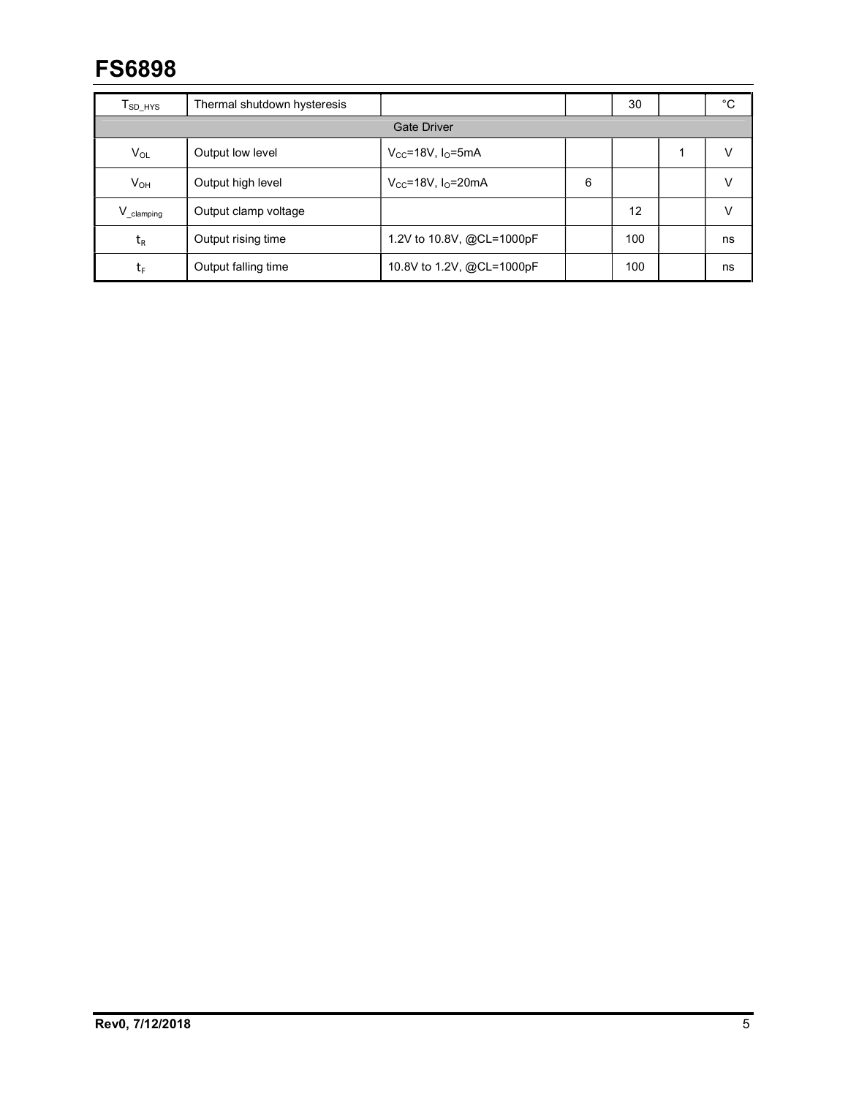| $T_{SD\_HYS}$            | Thermal shutdown hysteresis |                             |   | 30  |  | °С |
|--------------------------|-----------------------------|-----------------------------|---|-----|--|----|
|                          | <b>Gate Driver</b>          |                             |   |     |  |    |
| $V_{OL}$                 | Output low level            | $V_{CC}$ =18V, $I_{O}$ =5mA |   |     |  | v  |
| $V_{OH}$                 | Output high level           | $V_{CC}$ =18V, $IO$ =20mA   | 6 |     |  | v  |
| $V_{\_ \text{clamping}}$ | Output clamp voltage        |                             |   | 12  |  | V  |
| $t_{R}$                  | Output rising time          | 1.2V to 10.8V, @CL=1000pF   |   | 100 |  | ns |
| tr                       | Output falling time         | 10.8V to 1.2V, @CL=1000pF   |   | 100 |  | ns |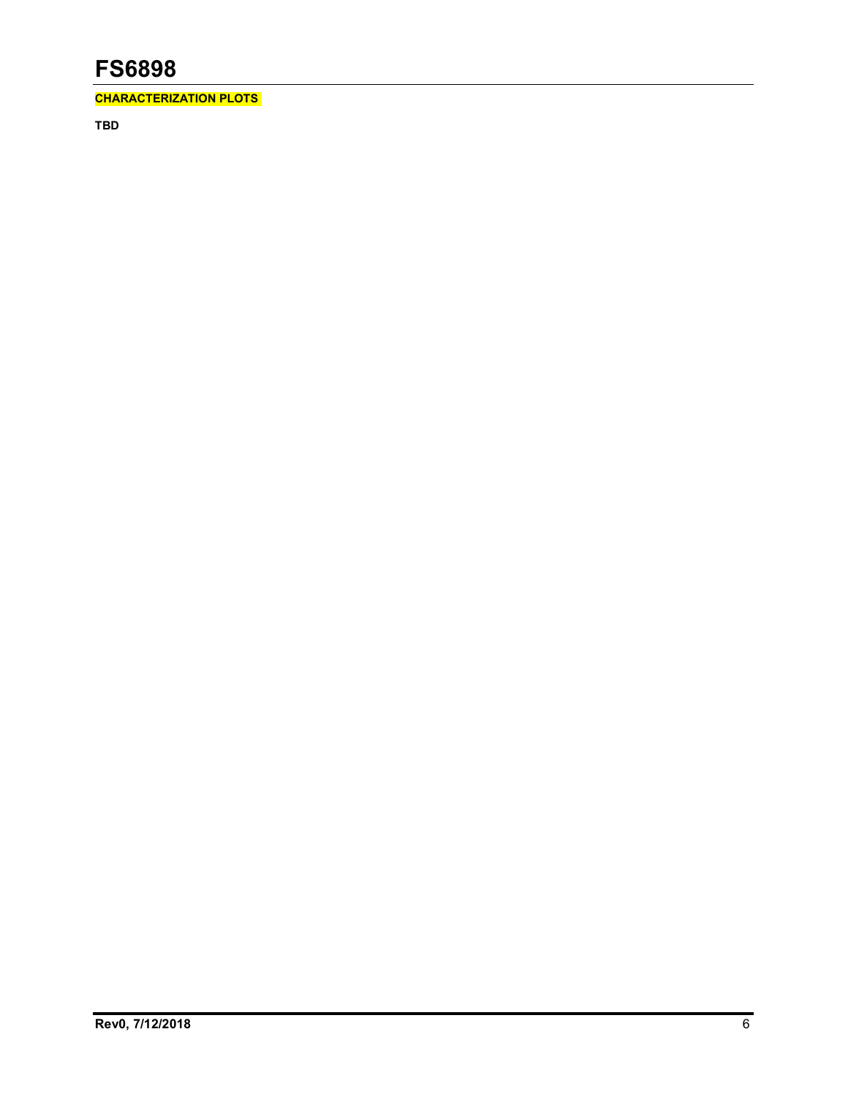CHARACTERIZATION PLOTS

TBD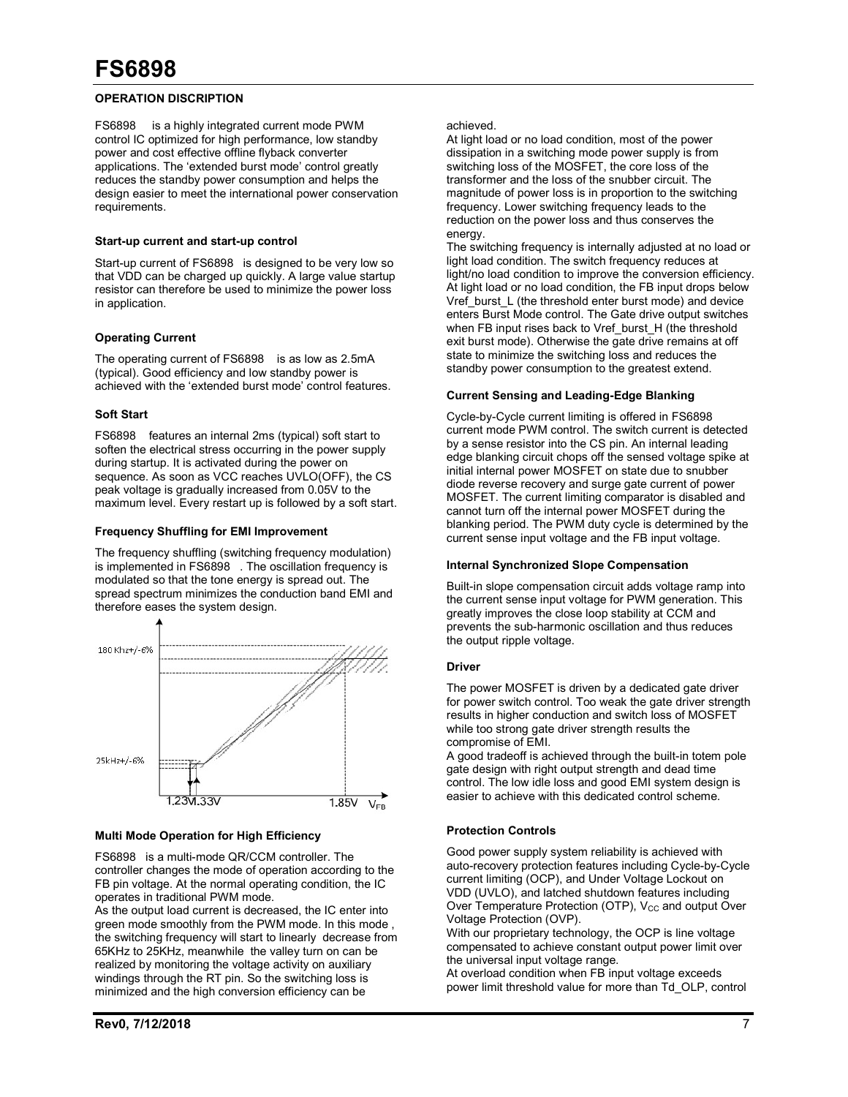#### OPERATION DISCRIPTION

FS6898 is a highly integrated current mode PWM control IC optimized for high performance, low standby power and cost effective offline flyback converter applications. The 'extended burst mode' control greatly reduces the standby power consumption and helps the design easier to meet the international power conservation requirements.

#### Start-up current and start-up control

Start-up current of FS6898 is designed to be very low so that VDD can be charged up quickly. A large value startup resistor can therefore be used to minimize the power loss in application.

#### Operating Current

The operating current of FS6898 is as low as 2.5mA (typical). Good efficiency and low standby power is achieved with the 'extended burst mode' control features.

#### Soft Start

FS6898 features an internal 2ms (typical) soft start to soften the electrical stress occurring in the power supply during startup. It is activated during the power on sequence. As soon as VCC reaches UVLO(OFF), the CS peak voltage is gradually increased from 0.05V to the maximum level. Every restart up is followed by a soft start.

#### Frequency Shuffling for EMI Improvement

The frequency shuffling (switching frequency modulation) is implemented in FS6898 . The oscillation frequency is modulated so that the tone energy is spread out. The spread spectrum minimizes the conduction band EMI and therefore eases the system design.



#### Multi Mode Operation for High Efficiency

FS6898 is a multi-mode QR/CCM controller. The controller changes the mode of operation according to the FB pin voltage. At the normal operating condition, the IC operates in traditional PWM mode.

As the output load current is decreased, the IC enter into green mode smoothly from the PWM mode. In this mode , the switching frequency will start to linearly decrease from 65KHz to 25KHz, meanwhile the valley turn on can be realized by monitoring the voltage activity on auxiliary windings through the RT pin. So the switching loss is minimized and the high conversion efficiency can be

At light load or no load condition, most of the power dissipation in a switching mode power supply is from switching loss of the MOSFET, the core loss of the transformer and the loss of the snubber circuit. The magnitude of power loss is in proportion to the switching frequency. Lower switching frequency leads to the reduction on the power loss and thus conserves the energy.

The switching frequency is internally adjusted at no load or light load condition. The switch frequency reduces at light/no load condition to improve the conversion efficiency. At light load or no load condition, the FB input drops below Vref\_burst\_L (the threshold enter burst mode) and device enters Burst Mode control. The Gate drive output switches when FB input rises back to Vref\_burst\_H (the threshold exit burst mode). Otherwise the gate drive remains at off state to minimize the switching loss and reduces the standby power consumption to the greatest extend.

#### Current Sensing and Leading-Edge Blanking

Cycle-by-Cycle current limiting is offered in FS6898 current mode PWM control. The switch current is detected by a sense resistor into the CS pin. An internal leading edge blanking circuit chops off the sensed voltage spike at initial internal power MOSFET on state due to snubber diode reverse recovery and surge gate current of power MOSFET. The current limiting comparator is disabled and cannot turn off the internal power MOSFET during the blanking period. The PWM duty cycle is determined by the current sense input voltage and the FB input voltage.

#### Internal Synchronized Slope Compensation

Built-in slope compensation circuit adds voltage ramp into the current sense input voltage for PWM generation. This greatly improves the close loop stability at CCM and prevents the sub-harmonic oscillation and thus reduces the output ripple voltage.

#### Driver

The power MOSFET is driven by a dedicated gate driver for power switch control. Too weak the gate driver strength results in higher conduction and switch loss of MOSFET while too strong gate driver strength results the compromise of EMI.

A good tradeoff is achieved through the built-in totem pole gate design with right output strength and dead time control. The low idle loss and good EMI system design is easier to achieve with this dedicated control scheme.

#### Protection Controls

Good power supply system reliability is achieved with auto-recovery protection features including Cycle-by-Cycle current limiting (OCP), and Under Voltage Lockout on VDD (UVLO), and latched shutdown features including Over Temperature Protection (OTP),  $V_{CC}$  and output Over Voltage Protection (OVP).

With our proprietary technology, the OCP is line voltage compensated to achieve constant output power limit over the universal input voltage range.

At overload condition when FB input voltage exceeds power limit threshold value for more than Td\_OLP, control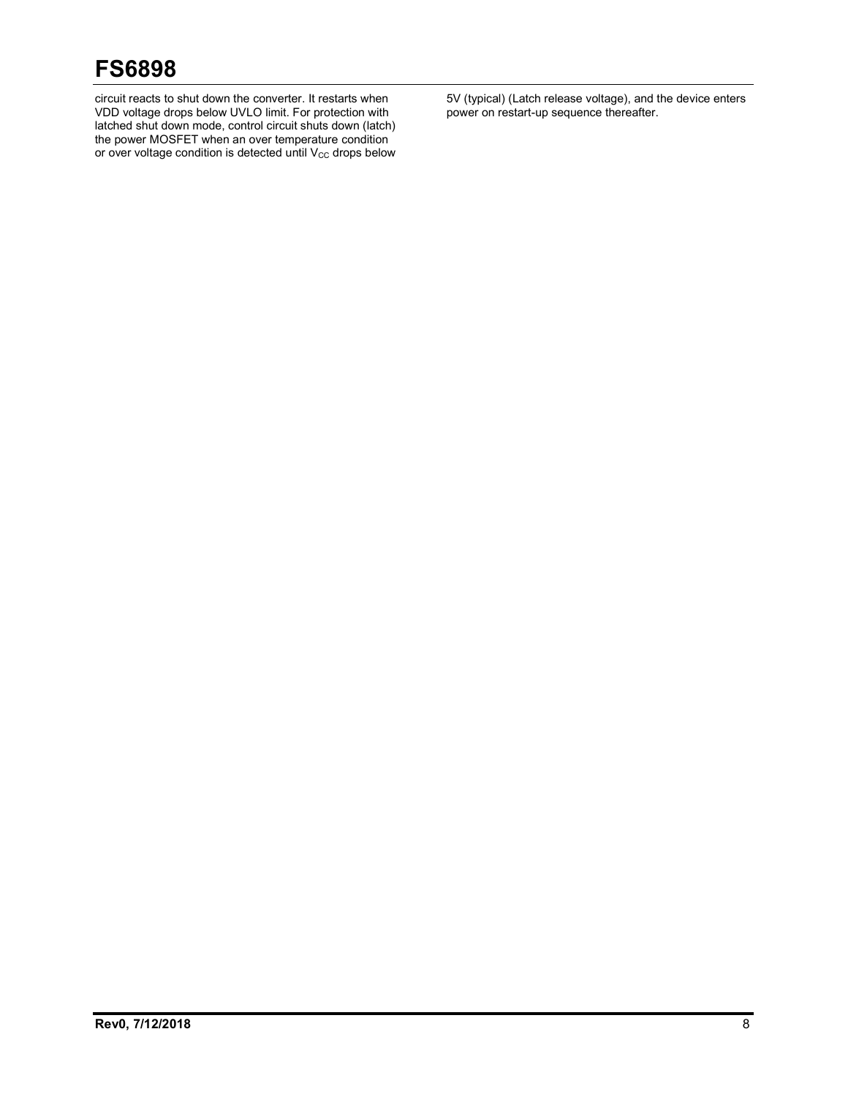circuit reacts to shut down the converter. It restarts when VDD voltage drops below UVLO limit. For protection with latched shut down mode, control circuit shuts down (latch) the power MOSFET when an over temperature condition or over voltage condition is detected until  $\mathsf{V}_{\mathsf{CC}}$  drops below 5V (typical) (Latch release voltage), and the device enters power on restart-up sequence thereafter.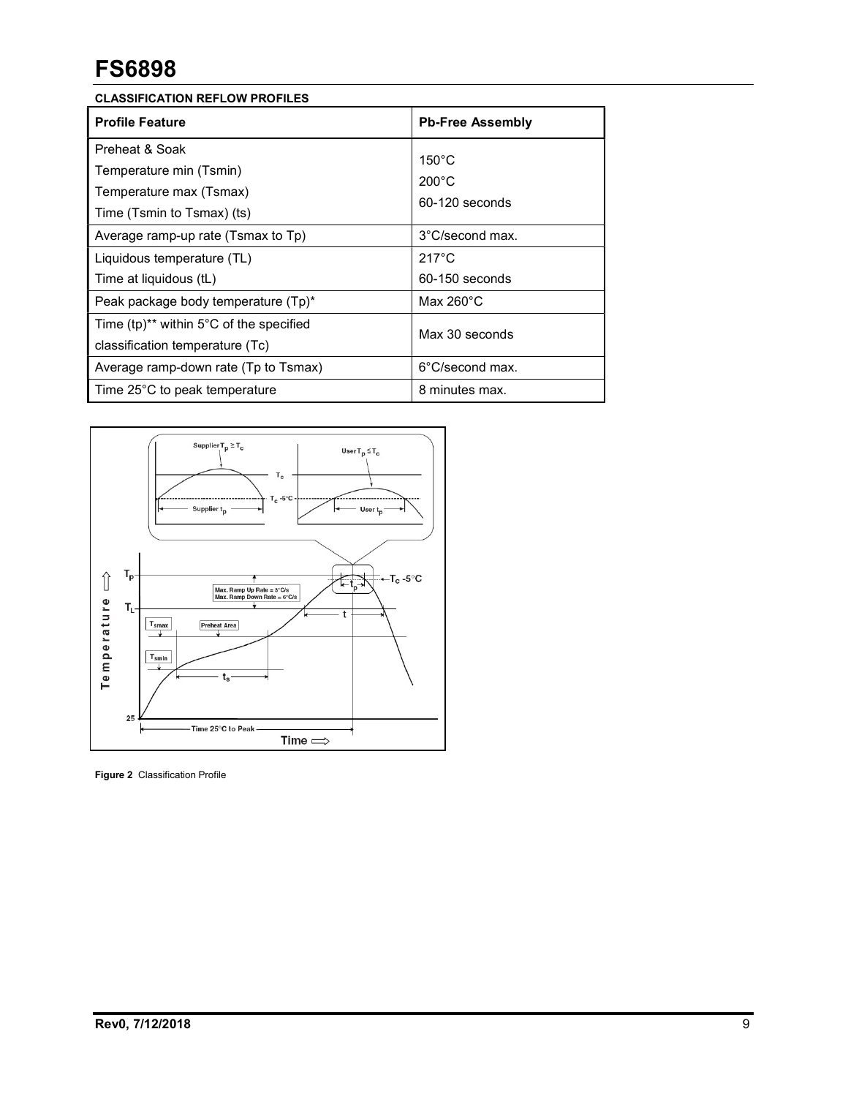| <b>Profile Feature</b>                                                                                                                                                                                                                  | <b>Pb-Free Assembly</b>                                                                                                               |
|-----------------------------------------------------------------------------------------------------------------------------------------------------------------------------------------------------------------------------------------|---------------------------------------------------------------------------------------------------------------------------------------|
| Preheat & Soak<br>Temperature min (Tsmin)<br>Temperature max (Tsmax)<br>Time (Tsmin to Tsmax) (ts)<br>Average ramp-up rate (Tsmax to Tp)<br>Liquidous temperature (TL)<br>Time at liquidous (tL)<br>Peak package body temperature (Tp)* | $150^{\circ}$ C<br>$200^{\circ}$ C<br>60-120 seconds<br>3°C/second max.<br>$217^{\circ}$ C<br>$60-150$ seconds<br>Max $260^{\circ}$ C |
| Time $(tp)^{**}$ within 5°C of the specified<br>classification temperature (Tc)                                                                                                                                                         | Max 30 seconds                                                                                                                        |
| Average ramp-down rate (Tp to Tsmax)                                                                                                                                                                                                    | 6°C/second max.                                                                                                                       |
| Time 25°C to peak temperature                                                                                                                                                                                                           | 8 minutes max.                                                                                                                        |



Figure 2 Classification Profile